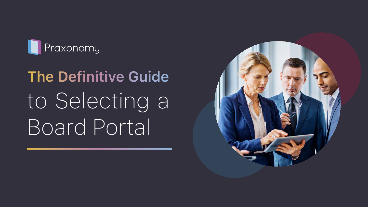

# **The Definitive Guide** to Selecting a Board Portal

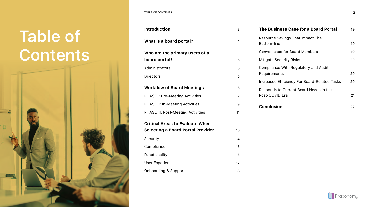### **Table of Contents**



| <b>Introduction</b>                      | 3                | The Business Case for a Board Portal                 | 19 |
|------------------------------------------|------------------|------------------------------------------------------|----|
| What is a board portal?                  | 4                | Resource Savings That Impact The<br>Bottom-line      | 19 |
| Who are the primary users of a           |                  | <b>Convenience for Board Members</b>                 | 19 |
| board portal?                            | 5                | <b>Mitigate Security Risks</b>                       | 20 |
| Administrators                           | 5                | Compliance With Regulatory and Audit<br>Requirements |    |
| <b>Directors</b>                         | 5                |                                                      | 20 |
|                                          |                  | Increased Efficiency For Board-Related Tasks         | 20 |
| <b>Workflow of Board Meetings</b>        | 6                | Responds to Current Board Needs in the               |    |
| <b>PHASE I: Pre-Meeting Activities</b>   | $\overline{7}$   | Post-COVID Era                                       | 21 |
| PHASE II: In-Meeting Activities          | $\boldsymbol{9}$ | <b>Conclusion</b>                                    | 22 |
| PHASE III: Post-Meeting Activities       | 11               |                                                      |    |
| <b>Critical Areas to Evaluate When</b>   |                  |                                                      |    |
| <b>Selecting a Board Portal Provider</b> | 13               |                                                      |    |
| Security                                 | 14               |                                                      |    |
| Compliance                               | 15               |                                                      |    |
| Functionality                            | 16               |                                                      |    |
| <b>User Experience</b>                   | 17               |                                                      |    |
| <b>Onboarding &amp; Support</b>          | 18               |                                                      |    |
|                                          |                  |                                                      |    |
|                                          |                  |                                                      |    |



Praxonomy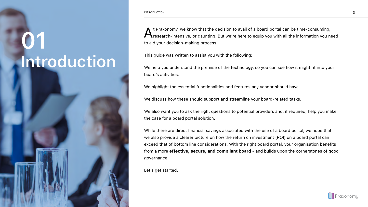## <span id="page-2-0"></span>**01 Introduction**



A t Praxonomy, we know that the decision to avail of a board portal can be time-consuming,<br>research-intensive, or daunting. But we're here to equip you with all the information you need to aid your decision-making process.

This guide was written to assist you with the following:

We help you understand the premise of the technology, so you can see how it might fit into your board's activities.

We highlight the essential functionalities and features any vendor should have.

We discuss how these should support and streamline your board-related tasks.

We also want you to ask the right questions to potential providers and, if required, help you make the case for a board portal solution.

While there are direct financial savings associated with the use of a board portal, we hope that we also provide a clearer picture on how the return on investment (ROI) on a board portal can exceed that of bottom line considerations. With the right board portal, your organisation benefits from a more **effective, secure, and compliant board** - and builds upon the cornerstones of good governance.

Let's get started.

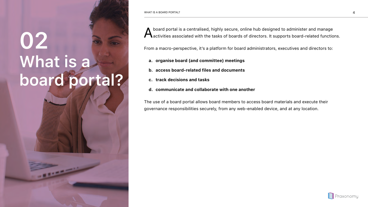## <span id="page-3-0"></span>**02 What is a board portal?**



A board portal is a centralised, highly secure, online hub designed to administer and manage<br>A activities associated with the tasks of boards of directors. It supports board-related functions.

From a macro-perspective, it's a platform for board administrators, executives and directors to:

- **a. organise board (and committee) meetings**
- **b. access board-related files and documents**
- **c. track decisions and tasks**
- **d. communicate and collaborate with one another**

The use of a board portal allows board members to access board materials and execute their governance responsibilities securely, from any web-enabled device, and at any location.

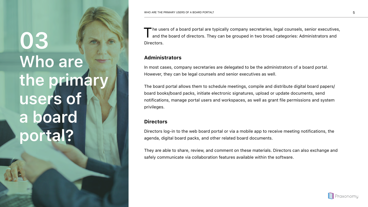<span id="page-4-0"></span>**03 Who are the primary users of a board portal?**

The users of a board portal are typically company secretaries, legal counsels, senior executives,<br>and the board of directors. They can be grouped in two broad categories: Administrators and Directors.

### **Administrators**

In most cases, company secretaries are delegated to be the administrators of a board portal. However, they can be legal counsels and senior executives as well.

The board portal allows them to schedule meetings, compile and distribute digital board papers/ board books/board packs, initiate electronic signatures, upload or update documents, send notifications, manage portal users and workspaces, as well as grant file permissions and system privileges.

### **Directors**

Directors log-in to the web board portal or via a mobile app to receive meeting notifications, the agenda, digital board packs, and other related board documents.

They are able to share, review, and comment on these materials. Directors can also exchange and safely communicate via collaboration features available within the software.